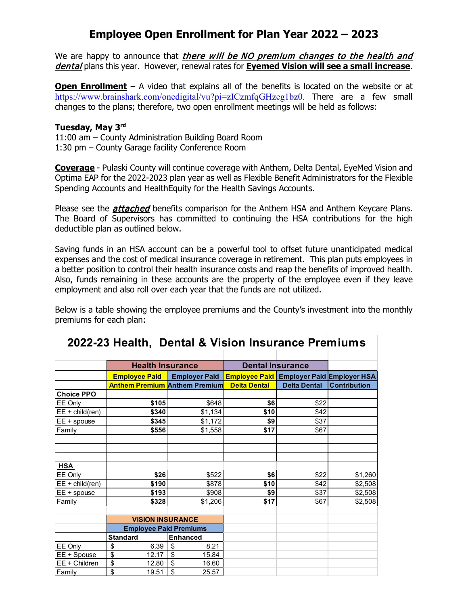# **Employee Open Enrollment for Plan Year 2022 – 2023**

We are happy to announce that *there will be NO premium changes to the health and* dental plans this year. However, renewal rates for **Eyemed Vision will see a small increase**.

**Open Enrollment** – A video that explains all of the benefits is located on the website or at [https://www.brainshark.com/onedigital/vu?pi=zICzmfqGHzeg1bz0.](https://nam11.safelinks.protection.outlook.com/?url=https%3A%2F%2Fwww.brainshark.com%2Fonedigital%2Fvu%3Fpi%3DzICzmfqGHzeg1bz0&data=05%7C01%7Ctnichols%40pulaskicounty.org%7C9076ddff50e1464e884008da294349b2%7C07a86a40b87342d397b9905b1ac08d5a%7C0%7C0%7C637867666721864282%7CUnknown%7CTWFpbGZsb3d8eyJWIjoiMC4wLjAwMDAiLCJQIjoiV2luMzIiLCJBTiI6Ik1haWwiLCJXVCI6Mn0%3D%7C3000%7C%7C%7C&sdata=TlXFtAe1iaBNRhFZXRJMjIT3lFy%2Bf1VT7xfnjO6siWY%3D&reserved=0) There are a few small changes to the plans; therefore, two open enrollment meetings will be held as follows:

#### **Tuesday, May 3rd**

11:00 am – County Administration Building Board Room 1:30 pm – County Garage facility Conference Room

**Coverage** - Pulaski County will continue coverage with Anthem, Delta Dental, EyeMed Vision and Optima EAP for the 2022-2023 plan year as well as Flexible Benefit Administrators for the Flexible Spending Accounts and HealthEquity for the Health Savings Accounts.

Please see the *attached* benefits comparison for the Anthem HSA and Anthem Keycare Plans. The Board of Supervisors has committed to continuing the HSA contributions for the high deductible plan as outlined below.

Saving funds in an HSA account can be a powerful tool to offset future unanticipated medical expenses and the cost of medical insurance coverage in retirement. This plan puts employees in a better position to control their health insurance costs and reap the benefits of improved health. Also, funds remaining in these accounts are the property of the employee even if they leave employment and also roll over each year that the funds are not utilized.

Below is a table showing the employee premiums and the County's investment into the monthly premiums for each plan:

**2022-23 Health, Dental & Vision Insurance Premiums**

| 2022-23 Figurii, Dental & Vision Insulance Fielinums |                                      |                      |                         |                     |                                   |
|------------------------------------------------------|--------------------------------------|----------------------|-------------------------|---------------------|-----------------------------------|
|                                                      |                                      |                      |                         |                     |                                   |
|                                                      | <b>Health Insurance</b>              |                      | <b>Dental Insurance</b> |                     |                                   |
|                                                      | <b>Employee Paid</b>                 | <b>Employer Paid</b> | <b>Employee Paid</b>    |                     | <b>Employer Paid Employer HSA</b> |
|                                                      | <b>Anthem Premium Anthem Premium</b> |                      | <b>Delta Dental</b>     | <b>Delta Dental</b> | <b>Contribution</b>               |
| <b>Choice PPO</b>                                    |                                      |                      |                         |                     |                                   |
| EE Only                                              | \$105                                | \$648                | \$6                     | \$22                |                                   |
| $EE + child$ (ren)                                   | \$340                                | \$1,134              | \$10                    | \$42                |                                   |
| EE + spouse                                          | \$345                                | \$1,172              | \$9                     | \$37                |                                   |
| Family                                               | \$556                                | \$1,558              | \$17                    | \$67                |                                   |
|                                                      |                                      |                      |                         |                     |                                   |
|                                                      |                                      |                      |                         |                     |                                   |
| <b>HSA</b>                                           |                                      |                      |                         |                     |                                   |
| EE Only                                              | \$26                                 | \$522                | \$6                     | \$22                | \$1,260                           |
| $EE + child$ (ren)                                   | \$190                                | \$878                | \$10                    | \$42                | \$2,508                           |
| EE + spouse                                          | \$193                                | \$908                | \$9                     | \$37                | \$2,508                           |
| Family                                               | \$328                                | \$1,206              | \$17                    | \$67                | \$2,508                           |
|                                                      |                                      |                      |                         |                     |                                   |
|                                                      | <b>VISION INSURANCE</b>              |                      |                         |                     |                                   |
|                                                      | <b>Employee Paid Premiums</b>        |                      |                         |                     |                                   |
|                                                      | <b>Standard</b>                      | <b>Enhanced</b>      |                         |                     |                                   |
| EE Only                                              | \$<br>6.39                           | \$<br>8.21           |                         |                     |                                   |
| EE + Spouse                                          | \$<br>12.17                          | \$<br>15.84          |                         |                     |                                   |
| EE + Children                                        | \$<br>12.80                          | \$<br>16.60          |                         |                     |                                   |
| Family                                               | \$<br>19.51                          | \$<br>25.57          |                         |                     |                                   |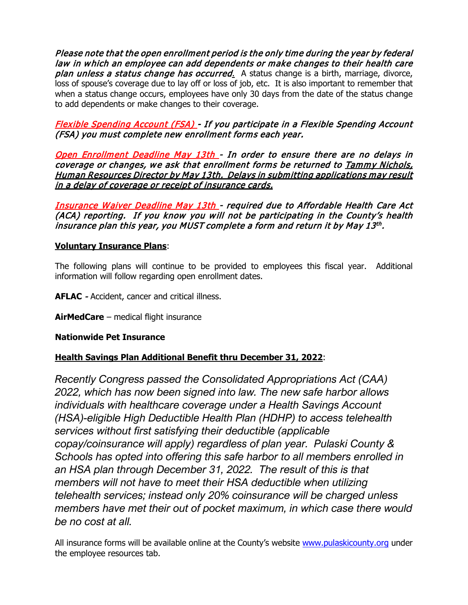Please note that the open enrollment period is the only time during the year by federal law in which an employee can add dependents or make changes to their health care plan unless a status change has occurred. A status change is a birth, marriage, divorce, loss of spouse's coverage due to lay off or loss of job, etc. It is also important to remember that when a status change occurs, employees have only 30 days from the date of the status change to add dependents or make changes to their coverage.

Flexible Spending Account (FSA) - If you participate in a Flexible Spending Account (FSA) you must complete new enrollment forms each year.

Open Enrollment Deadline May 13th - In order to ensure there are no delays in coverage or changes, we ask that enrollment forms be returned to Tammy Nichols, Human Resources Director by May 13th. Delays in submitting applications may result in a delay of coverage or receipt of insurance cards.

Insurance Waiver Deadline May 13th - required due to Affordable Health Care Act (ACA) reporting. If you know you will not be participating in the County's health insurance plan this year, you MUST complete a form and return it by May 13<sup>th</sup>.

### **Voluntary Insurance Plans**:

The following plans will continue to be provided to employees this fiscal year. Additional information will follow regarding open enrollment dates.

**AFLAC** - Accident, cancer and critical illness.

**AirMedCare** – medical flight insurance

### **Nationwide Pet Insurance**

## **Health Savings Plan Additional Benefit thru December 31, 2022**:

*Recently Congress passed the Consolidated Appropriations Act (CAA) 2022, which has now been signed into law. The new safe harbor allows individuals with healthcare coverage under a Health Savings Account (HSA)-eligible High Deductible Health Plan (HDHP) to access telehealth services without first satisfying their deductible (applicable copay/coinsurance will apply) regardless of plan year. Pulaski County & Schools has opted into offering this safe harbor to all members enrolled in an HSA plan through December 31, 2022. The result of this is that members will not have to meet their HSA deductible when utilizing telehealth services; instead only 20% coinsurance will be charged unless members have met their out of pocket maximum, in which case there would be no cost at all.* 

All insurance forms will be available online at the County's website [www.pulaskicounty.org](http://www.pulaskicounty.org/) under the employee resources tab.